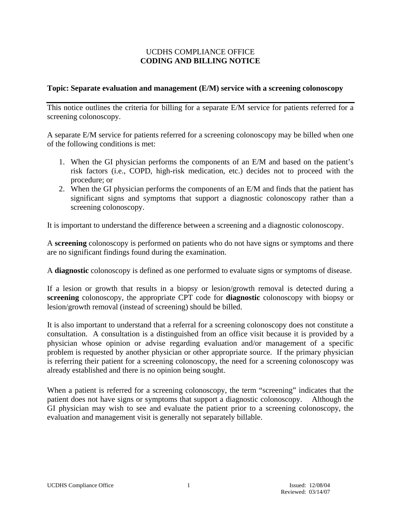## UCDHS COMPLIANCE OFFICE **CODING AND BILLING NOTICE**

### **Topic: Separate evaluation and management (E/M) service with a screening colonoscopy**

This notice outlines the criteria for billing for a separate E/M service for patients referred for a screening colonoscopy.

A separate E/M service for patients referred for a screening colonoscopy may be billed when one of the following conditions is met:

- 1. When the GI physician performs the components of an E/M and based on the patient's risk factors (i.e., COPD, high-risk medication, etc.) decides not to proceed with the procedure; or
- 2. When the GI physician performs the components of an E/M and finds that the patient has significant signs and symptoms that support a diagnostic colonoscopy rather than a screening colonoscopy.

It is important to understand the difference between a screening and a diagnostic colonoscopy.

A **screening** colonoscopy is performed on patients who do not have signs or symptoms and there are no significant findings found during the examination.

A **diagnostic** colonoscopy is defined as one performed to evaluate signs or symptoms of disease.

If a lesion or growth that results in a biopsy or lesion/growth removal is detected during a **screening** colonoscopy, the appropriate CPT code for **diagnostic** colonoscopy with biopsy or lesion/growth removal (instead of screening) should be billed.

It is also important to understand that a referral for a screening colonoscopy does not constitute a consultation. A consultation is a distinguished from an office visit because it is provided by a physician whose opinion or advise regarding evaluation and/or management of a specific problem is requested by another physician or other appropriate source. If the primary physician is referring their patient for a screening colonoscopy, the need for a screening colonoscopy was already established and there is no opinion being sought.

When a patient is referred for a screening colonoscopy, the term "screening" indicates that the patient does not have signs or symptoms that support a diagnostic colonoscopy. Although the GI physician may wish to see and evaluate the patient prior to a screening colonoscopy, the evaluation and management visit is generally not separately billable.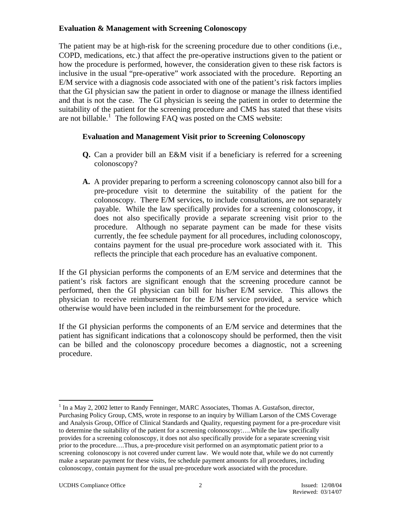## **Evaluation & Management with Screening Colonoscopy**

The patient may be at high-risk for the screening procedure due to other conditions (i.e., COPD, medications, etc.) that affect the pre-operative instructions given to the patient or how the procedure is performed, however, the consideration given to these risk factors is inclusive in the usual "pre-operative" work associated with the procedure. Reporting an E/M service with a diagnosis code associated with one of the patient's risk factors implies that the GI physician saw the patient in order to diagnose or manage the illness identified and that is not the case. The GI physician is seeing the patient in order to determine the suitability of the patient for the screening procedure and CMS has stated that these visits are not billable.<sup>[1](#page-1-0)</sup> The following FAQ was posted on the CMS website:

# **Evaluation and Management Visit prior to Screening Colonoscopy**

- **Q.** Can a provider bill an E&M visit if a beneficiary is referred for a screening colonoscopy?
- **A.** A provider preparing to perform a screening colonoscopy cannot also bill for a pre-procedure visit to determine the suitability of the patient for the colonoscopy. There E/M services, to include consultations, are not separately payable. While the law specifically provides for a screening colonoscopy, it does not also specifically provide a separate screening visit prior to the procedure. Although no separate payment can be made for these visits currently, the fee schedule payment for all procedures, including colonoscopy, contains payment for the usual pre-procedure work associated with it. This reflects the principle that each procedure has an evaluative component.

If the GI physician performs the components of an E/M service and determines that the patient's risk factors are significant enough that the screening procedure cannot be performed, then the GI physician can bill for his/her E/M service. This allows the physician to receive reimbursement for the E/M service provided, a service which otherwise would have been included in the reimbursement for the procedure.

If the GI physician performs the components of an E/M service and determines that the patient has significant indications that a colonoscopy should be performed, then the visit can be billed and the colonoscopy procedure becomes a diagnostic, not a screening procedure.

 $\overline{a}$ 

<span id="page-1-0"></span> $1$  In a May 2, 2002 letter to Randy Fenninger, MARC Associates, Thomas A. Gustafson, director, Purchasing Policy Group, CMS, wrote in response to an inquiry by William Larson of the CMS Coverage and Analysis Group, Office of Clinical Standards and Quality, requesting payment for a pre-procedure visit to determine the suitability of the patient for a screening colonoscopy:….While the law specifically provides for a screening colonoscopy, it does not also specifically provide for a separate screening visit prior to the procedure….Thus, a pre-procedure visit performed on an asymptomatic patient prior to a screening colonoscopy is not covered under current law. We would note that, while we do not currently make a separate payment for these visits, fee schedule payment amounts for all procedures, including colonoscopy, contain payment for the usual pre-procedure work associated with the procedure.